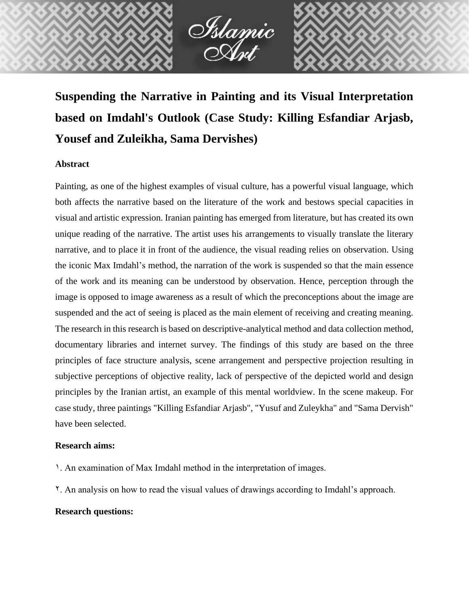

# **Suspending the Narrative in Painting and its Visual Interpretation based on Imdahl's Outlook (Case Study: Killing Esfandiar Arjasb, Yousef and Zuleikha, Sama Dervishes)**

## **Abstract**

Painting, as one of the highest examples of visual culture, has a powerful visual language, which both affects the narrative based on the literature of the work and bestows special capacities in visual and artistic expression. Iranian painting has emerged from literature, but has created its own unique reading of the narrative. The artist uses his arrangements to visually translate the literary narrative, and to place it in front of the audience, the visual reading relies on observation. Using the iconic Max Imdahl's method, the narration of the work is suspended so that the main essence of the work and its meaning can be understood by observation. Hence, perception through the image is opposed to image awareness as a result of which the preconceptions about the image are suspended and the act of seeing is placed as the main element of receiving and creating meaning. The research in this research is based on descriptive-analytical method and data collection method, documentary libraries and internet survey. The findings of this study are based on the three principles of face structure analysis, scene arrangement and perspective projection resulting in subjective perceptions of objective reality, lack of perspective of the depicted world and design principles by the Iranian artist, an example of this mental worldview. In the scene makeup. For case study, three paintings "Killing Esfandiar Arjasb", "Yusuf and Zuleykha" and "Sama Dervish" have been selected.

## **Research aims:**

- 1. An examination of Max Imdahl method in the interpretation of images.
- 2. An analysis on how to read the visual values of drawings according to Imdahl's approach.

# **Research questions:**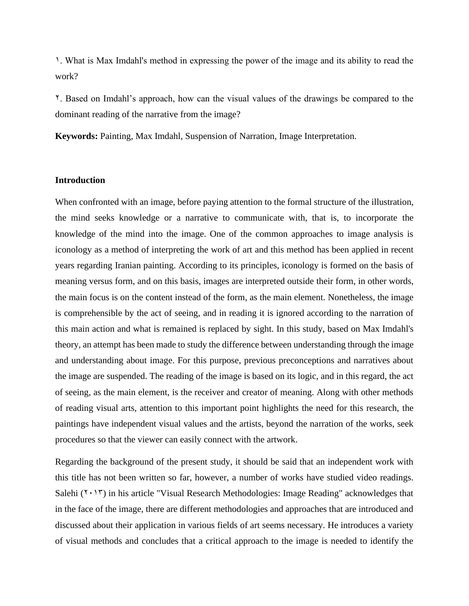1. What is Max Imdahl's method in expressing the power of the image and its ability to read the work?

2. Based on Imdahl's approach, how can the visual values of the drawings be compared to the dominant reading of the narrative from the image?

**Keywords:** Painting, Max Imdahl, Suspension of Narration, Image Interpretation.

### **Introduction**

When confronted with an image, before paying attention to the formal structure of the illustration, the mind seeks knowledge or a narrative to communicate with, that is, to incorporate the knowledge of the mind into the image. One of the common approaches to image analysis is iconology as a method of interpreting the work of art and this method has been applied in recent years regarding Iranian painting. According to its principles, iconology is formed on the basis of meaning versus form, and on this basis, images are interpreted outside their form, in other words, the main focus is on the content instead of the form, as the main element. Nonetheless, the image is comprehensible by the act of seeing, and in reading it is ignored according to the narration of this main action and what is remained is replaced by sight. In this study, based on Max Imdahl's theory, an attempt has been made to study the difference between understanding through the image and understanding about image. For this purpose, previous preconceptions and narratives about the image are suspended. The reading of the image is based on its logic, and in this regard, the act of seeing, as the main element, is the receiver and creator of meaning. Along with other methods of reading visual arts, attention to this important point highlights the need for this research, the paintings have independent visual values and the artists, beyond the narration of the works, seek procedures so that the viewer can easily connect with the artwork.

Regarding the background of the present study, it should be said that an independent work with this title has not been written so far, however, a number of works have studied video readings. Salehi  $(1 \cdot 17)$  in his article "Visual Research Methodologies: Image Reading" acknowledges that in the face of the image, there are different methodologies and approaches that are introduced and discussed about their application in various fields of art seems necessary. He introduces a variety of visual methods and concludes that a critical approach to the image is needed to identify the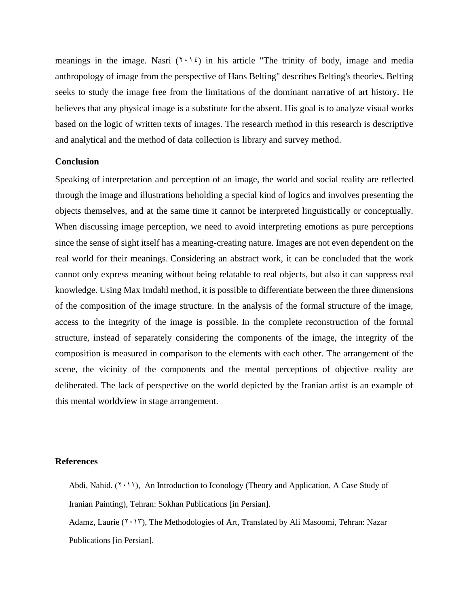meanings in the image. Nasri  $(1 \cdot \nvert \nvert \nvert)$  in his article "The trinity of body, image and media anthropology of image from the perspective of Hans Belting" describes Belting's theories. Belting seeks to study the image free from the limitations of the dominant narrative of art history. He believes that any physical image is a substitute for the absent. His goal is to analyze visual works based on the logic of written texts of images. The research method in this research is descriptive and analytical and the method of data collection is library and survey method.

#### **Conclusion**

Speaking of interpretation and perception of an image, the world and social reality are reflected through the image and illustrations beholding a special kind of logics and involves presenting the objects themselves, and at the same time it cannot be interpreted linguistically or conceptually. When discussing image perception, we need to avoid interpreting emotions as pure perceptions since the sense of sight itself has a meaning-creating nature. Images are not even dependent on the real world for their meanings. Considering an abstract work, it can be concluded that the work cannot only express meaning without being relatable to real objects, but also it can suppress real knowledge. Using Max Imdahl method, it is possible to differentiate between the three dimensions of the composition of the image structure. In the analysis of the formal structure of the image, access to the integrity of the image is possible. In the complete reconstruction of the formal structure, instead of separately considering the components of the image, the integrity of the composition is measured in comparison to the elements with each other. The arrangement of the scene, the vicinity of the components and the mental perceptions of objective reality are deliberated. The lack of perspective on the world depicted by the Iranian artist is an example of this mental worldview in stage arrangement.

#### **References**

- Abdi, Nahid.  $(1 \cdot 1)$ , An Introduction to Iconology (Theory and Application, A Case Study of Iranian Painting), Tehran: Sokhan Publications [in Persian].
- Adamz, Laurie (7.17), The Methodologies of Art, Translated by Ali Masoomi, Tehran: Nazar Publications [in Persian].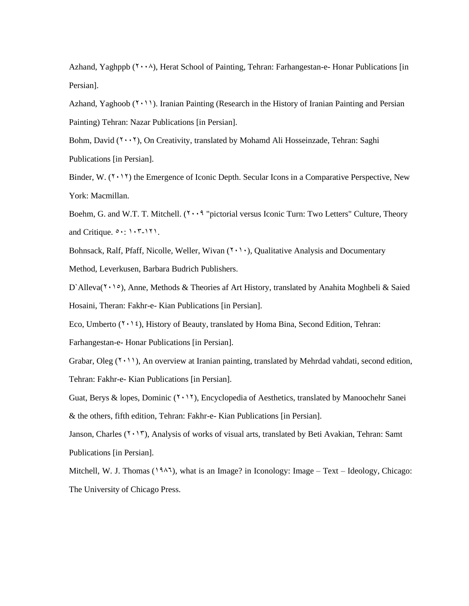Azhand, Yaghppb (Y · · ^), Herat School of Painting, Tehran: Farhangestan-e- Honar Publications [in Persian].

Azhand, Yaghoob  $(1 \cdot 1)$ . Iranian Painting (Research in the History of Iranian Painting and Persian Painting) Tehran: Nazar Publications [in Persian].

Bohm, David  $(Y \cdot Y)$ , On Creativity, translated by Mohamd Ali Hosseinzade, Tehran: Saghi Publications [in Persian].

Binder, W.  $(Y \cdot Y)$  the Emergence of Iconic Depth. Secular Icons in a Comparative Perspective, New York: Macmillan.

Boehm, G. and W.T. T. Mitchell.  $(1 \cdot \cdot 9)$  "pictorial versus Iconic Turn: Two Letters" Culture, Theory and Critique.  $0 \cdot : 1 \cdot 7 - 171$ .

Bohnsack, Ralf, Pfaff, Nicolle, Weller, Wivan  $(1 \cdot 1)$ , Qualitative Analysis and Documentary Method, Leverkusen, Barbara Budrich Publishers.

D`Alleva( $\mathbf{Y} \cdot \mathbf{P}$ ), Anne, Methods & Theories af Art History, translated by Anahita Moghbeli & Saied Hosaini, Theran: Fakhr-e- Kian Publications [in Persian].

Eco, Umberto ( $\mathbf{Y} \cdot \mathbf{Y}$ ), History of Beauty, translated by Homa Bina, Second Edition, Tehran:

Farhangestan-e- Honar Publications [in Persian].

Grabar, Oleg  $(2 \cdot 1)$ , An overview at Iranian painting, translated by Mehrdad vahdati, second edition, Tehran: Fakhr-e- Kian Publications [in Persian].

Guat, Berys & lopes, Dominic  $(2.12)$ , Encyclopedia of Aesthetics, translated by Manoochehr Sanei & the others, fifth edition, Tehran: Fakhr-e- Kian Publications [in Persian].

Janson, Charles  $(7 \cdot 17)$ , Analysis of works of visual arts, translated by Beti Avakian, Tehran: Samt Publications [in Persian].

Mitchell, W. J. Thomas (1985), what is an Image? in Iconology: Image – Text – Ideology, Chicago: The University of Chicago Press.